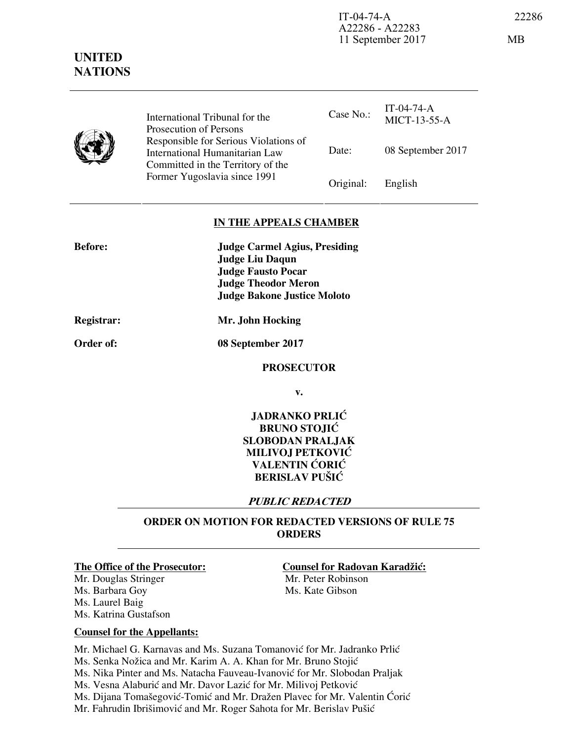MICT-13-55-A



**UNITED NATIONS**

> Case No.:  $IT-04-74-A$ Date: 08 September 2017 International Tribunal for the Prosecution of Persons Responsible for Serious Violations of International Humanitarian Law Committed in the Territory of the Former Yugoslavia since 1991 **Original:** English

# **IN THE APPEALS CHAMBER**

| <b>Before:</b> | <b>Judge Carmel Agius, Presiding</b> |
|----------------|--------------------------------------|
|                | <b>Judge Liu Daqun</b>               |
|                | <b>Judge Fausto Pocar</b>            |
|                | <b>Judge Theodor Meron</b>           |
|                | <b>Judge Bakone Justice Moloto</b>   |
|                |                                      |

**Order of: 08 September 2017** 

**Registrar: Mr. John Hocking** 

### **PROSECUTOR**

**v.** 

**JADRANKO PRLIĆ BRUNO STOJIĆ SLOBODAN PRALJAK MILIVOJ PETKOVIĆ VALENTIN CORIC BERISLAV PUŠIĆ** 

# **PUBLIC REDACTED**

# **ORDER ON MOTION FOR REDACTED VERSIONS OF RULE 75 ORDERS**

Mr. Douglas Stringer Mr. Peter Robinson Ms. Barbara Goy Ms. Kate Gibson Ms. Laurel Baig Ms. Katrina Gustafson

### **The Office of the Prosecutor: Counsel for Radovan Karadžić:**

### **Counsel for the Appellants:**

Mr. Michael G. Karnavas and Ms. Suzana Tomanović for Mr. Jadranko Prlić Ms. Senka Nožica and Mr. Karim A. A. Khan for Mr. Bruno Stojić Ms. Nika Pinter and Ms. Natacha Fauveau-Ivanović for Mr. Slobodan Praljak Ms. Vesna Alaburić and Mr. Davor Lazić for Mr. Milivoj Petković Ms. Dijana Tomašegović-Tomić and Mr. Dražen Plavec for Mr. Valentin Ćorić Mr. Fahrudin Ibrišimović and Mr. Roger Sahota for Mr. Berislav Pušić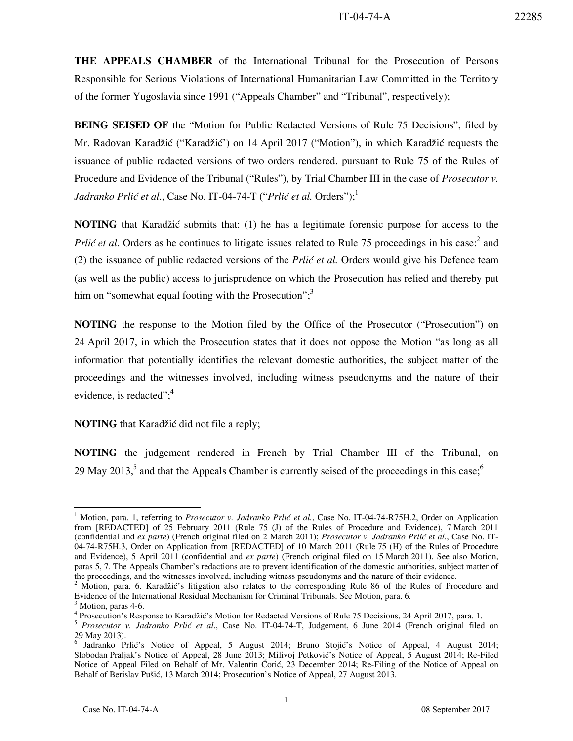**THE APPEALS CHAMBER** of the International Tribunal for the Prosecution of Persons Responsible for Serious Violations of International Humanitarian Law Committed in the Territory of the former Yugoslavia since 1991 ("Appeals Chamber" and "Tribunal", respectively);

**BEING SEISED OF** the "Motion for Public Redacted Versions of Rule 75 Decisions", filed by Mr. Radovan Karadžić ("Karadžić') on 14 April 2017 ("Motion"), in which Karadžić requests the issuance of public redacted versions of two orders rendered, pursuant to Rule 75 of the Rules of Procedure and Evidence of the Tribunal ("Rules"), by Trial Chamber III in the case of *Prosecutor v. Jadranko Prlić et al.*, Case No. IT-04-74-T ("*Prlić et al.* Orders");<sup>1</sup>

**NOTING** that Karadžić submits that: (1) he has a legitimate forensic purpose for access to the Prlić et al. Orders as he continues to litigate issues related to Rule 75 proceedings in his case;<sup>2</sup> and (2) the issuance of public redacted versions of the *Prlić et al.* Orders would give his Defence team (as well as the public) access to jurisprudence on which the Prosecution has relied and thereby put him on "somewhat equal footing with the Prosecution";<sup>3</sup>

**NOTING** the response to the Motion filed by the Office of the Prosecutor ("Prosecution") on 24 April 2017, in which the Prosecution states that it does not oppose the Motion "as long as all information that potentially identifies the relevant domestic authorities, the subject matter of the proceedings and the witnesses involved, including witness pseudonyms and the nature of their evidence, is redacted"; $4$ 

### **NOTING** that Karadžić did not file a reply;

**NOTING** the judgement rendered in French by Trial Chamber III of the Tribunal, on 29 May 2013,<sup>5</sup> and that the Appeals Chamber is currently seised of the proceedings in this case;<sup>6</sup>

-

<sup>&</sup>lt;sup>1</sup> Motion, para. 1, referring to *Prosecutor v. Jadranko Prlić et al.*, Case No. IT-04-74-R75H.2, Order on Application from [REDACTED] of 25 February 2011 (Rule 75 (J) of the Rules of Procedure and Evidence), 7 March 2011 (confidential and *ex parte*) (French original filed on 2 March 2011); *Prosecutor v. Jadranko Prli} et al.*, Case No. IT-04-74-R75H.3, Order on Application from [REDACTED] of 10 March 2011 (Rule 75 (H) of the Rules of Procedure and Evidence), 5 April 2011 (confidential and *ex parte*) (French original filed on 15 March 2011). See also Motion, paras 5, 7. The Appeals Chamber's redactions are to prevent identification of the domestic authorities, subject matter of the proceedings, and the witnesses involved, including witness pseudonyms and the nature of their evidence.

<sup>&</sup>lt;sup>2</sup> Motion, para. 6. Karadžić's litigation also relates to the corresponding Rule 86 of the Rules of Procedure and Evidence of the International Residual Mechanism for Criminal Tribunals. See Motion, para. 6. 3

Motion, paras 4-6.

<sup>&</sup>lt;sup>4</sup> Prosecution's Response to Karadžić's Motion for Redacted Versions of Rule 75 Decisions, 24 April 2017, para. 1.

<sup>5</sup> *Prosecutor v. Jadranko Prlić et al*., Case No. IT-04-74-T, Judgement, 6 June 2014 (French original filed on 29 May 2013).

<sup>&</sup>lt;sup>6</sup> Jadranko Prlić's Notice of Appeal, 5 August 2014; Bruno Stojić's Notice of Appeal, 4 August 2014; Slobodan Praljak's Notice of Appeal, 28 June 2013; Milivoj Petković's Notice of Appeal, 5 August 2014; Re-Filed Notice of Appeal Filed on Behalf of Mr. Valentin Ćorić, 23 December 2014; Re-Filing of the Notice of Appeal on Behalf of Berislav Pušić, 13 March 2014; Prosecution's Notice of Appeal, 27 August 2013.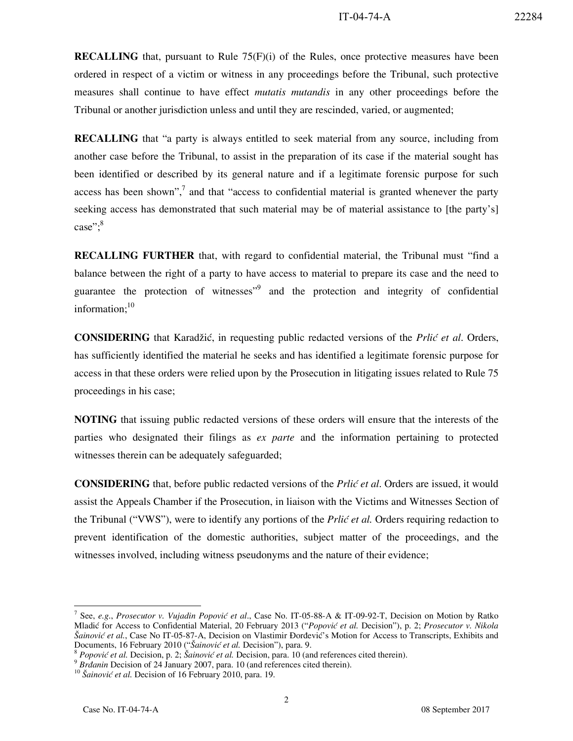**RECALLING** that, pursuant to Rule 75(F)(i) of the Rules, once protective measures have been ordered in respect of a victim or witness in any proceedings before the Tribunal, such protective measures shall continue to have effect *mutatis mutandis* in any other proceedings before the Tribunal or another jurisdiction unless and until they are rescinded, varied, or augmented;

**RECALLING** that "a party is always entitled to seek material from any source, including from another case before the Tribunal, to assist in the preparation of its case if the material sought has been identified or described by its general nature and if a legitimate forensic purpose for such access has been shown", $\frac{7}{1}$  and that "access to confidential material is granted whenever the party seeking access has demonstrated that such material may be of material assistance to [the party's] case";<sup>8</sup>

**RECALLING FURTHER** that, with regard to confidential material, the Tribunal must "find a balance between the right of a party to have access to material to prepare its case and the need to guarantee the protection of witnesses<sup>"9</sup> and the protection and integrity of confidential information;<sup>10</sup>

**CONSIDERING** that Karadžić, in requesting public redacted versions of the *Prlić et al.* Orders, has sufficiently identified the material he seeks and has identified a legitimate forensic purpose for access in that these orders were relied upon by the Prosecution in litigating issues related to Rule 75 proceedings in his case;

**NOTING** that issuing public redacted versions of these orders will ensure that the interests of the parties who designated their filings as *ex parte* and the information pertaining to protected witnesses therein can be adequately safeguarded;

**CONSIDERING** that, before public redacted versions of the *Prlic et al*. Orders are issued, it would assist the Appeals Chamber if the Prosecution, in liaison with the Victims and Witnesses Section of the Tribunal ("VWS"), were to identify any portions of the *Prlić et al.* Orders requiring redaction to prevent identification of the domestic authorities, subject matter of the proceedings, and the witnesses involved, including witness pseudonyms and the nature of their evidence;

-

<sup>7</sup> See, *e.g*., *Prosecutor v. Vujadin Popović et al*., Case No. IT-05-88-A & IT-09-92-T, Decision on Motion by Ratko Mladić for Access to Confidential Material, 20 February 2013 ("*Popović et al.* Decision"), p. 2; *Prosecutor v. Nikola Šainović et al.*, Case No IT-05-87-A, Decision on Vlastimir Ðorđević's Motion for Access to Transcripts, Exhibits and Documents, 16 February 2010 ("*Šainović et al.* Decision"), para. 9.

<sup>8</sup> *Popović et al.* Decision, p. 2; *Šainović et al.* Decision, para. 10 (and references cited therein).

<sup>&</sup>lt;sup>9</sup> Brdanin Decision of 24 January 2007, para. 10 (and references cited therein).

<sup>&</sup>lt;sup>10</sup> Šainović et al. Decision of 16 February 2010, para. 19.